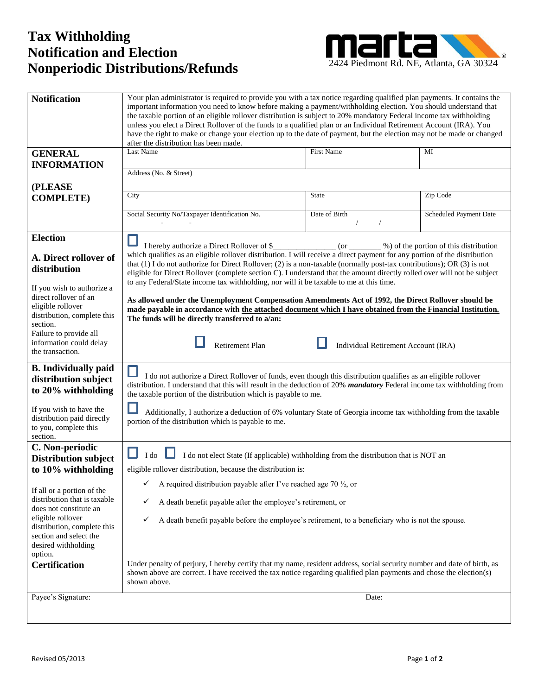## 2424 Piedmont Rd. NE, Atlanta, GA 30324 **Nonperiodic Distributions/Refunds Tax Withholding Notification and Election**



| <b>Notification</b>                                        | Your plan administrator is required to provide you with a tax notice regarding qualified plan payments. It contains the<br>important information you need to know before making a payment/withholding election. You should understand that<br>the taxable portion of an eligible rollover distribution is subject to 20% mandatory Federal income tax withholding<br>unless you elect a Direct Rollover of the funds to a qualified plan or an Individual Retirement Account (IRA). You |                                     |                        |
|------------------------------------------------------------|-----------------------------------------------------------------------------------------------------------------------------------------------------------------------------------------------------------------------------------------------------------------------------------------------------------------------------------------------------------------------------------------------------------------------------------------------------------------------------------------|-------------------------------------|------------------------|
|                                                            | have the right to make or change your election up to the date of payment, but the election may not be made or changed<br>after the distribution has been made.                                                                                                                                                                                                                                                                                                                          |                                     |                        |
| <b>GENERAL</b>                                             | Last Name                                                                                                                                                                                                                                                                                                                                                                                                                                                                               | <b>First Name</b>                   | MI                     |
| <b>INFORMATION</b>                                         |                                                                                                                                                                                                                                                                                                                                                                                                                                                                                         |                                     |                        |
|                                                            | Address (No. & Street)                                                                                                                                                                                                                                                                                                                                                                                                                                                                  |                                     |                        |
| (PLEASE                                                    |                                                                                                                                                                                                                                                                                                                                                                                                                                                                                         |                                     |                        |
| <b>COMPLETE)</b>                                           | City                                                                                                                                                                                                                                                                                                                                                                                                                                                                                    | <b>State</b>                        | Zip Code               |
|                                                            | Social Security No/Taxpayer Identification No.                                                                                                                                                                                                                                                                                                                                                                                                                                          | Date of Birth                       | Scheduled Payment Date |
|                                                            |                                                                                                                                                                                                                                                                                                                                                                                                                                                                                         |                                     |                        |
| <b>Election</b>                                            |                                                                                                                                                                                                                                                                                                                                                                                                                                                                                         |                                     |                        |
|                                                            |                                                                                                                                                                                                                                                                                                                                                                                                                                                                                         |                                     |                        |
| A. Direct rollover of                                      | which qualifies as an eligible rollover distribution. I will receive a direct payment for any portion of the distribution                                                                                                                                                                                                                                                                                                                                                               |                                     |                        |
| distribution                                               | that $(1)$ I do not authorize for Direct Rollover; $(2)$ is a non-taxable (normally post-tax contributions); OR $(3)$ is not<br>eligible for Direct Rollover (complete section C). I understand that the amount directly rolled over will not be subject                                                                                                                                                                                                                                |                                     |                        |
|                                                            | to any Federal/State income tax withholding, nor will it be taxable to me at this time.                                                                                                                                                                                                                                                                                                                                                                                                 |                                     |                        |
| If you wish to authorize a<br>direct rollover of an        |                                                                                                                                                                                                                                                                                                                                                                                                                                                                                         |                                     |                        |
| eligible rollover                                          | As allowed under the Unemployment Compensation Amendments Act of 1992, the Direct Rollover should be<br>made payable in accordance with the attached document which I have obtained from the Financial Institution.                                                                                                                                                                                                                                                                     |                                     |                        |
| distribution, complete this                                | The funds will be directly transferred to a/an:                                                                                                                                                                                                                                                                                                                                                                                                                                         |                                     |                        |
| section.                                                   |                                                                                                                                                                                                                                                                                                                                                                                                                                                                                         |                                     |                        |
| Failure to provide all                                     |                                                                                                                                                                                                                                                                                                                                                                                                                                                                                         |                                     |                        |
| information could delay<br>the transaction.                | Retirement Plan                                                                                                                                                                                                                                                                                                                                                                                                                                                                         | Individual Retirement Account (IRA) |                        |
|                                                            |                                                                                                                                                                                                                                                                                                                                                                                                                                                                                         |                                     |                        |
| <b>B.</b> Individually paid                                | I do not authorize a Direct Rollover of funds, even though this distribution qualifies as an eligible rollover                                                                                                                                                                                                                                                                                                                                                                          |                                     |                        |
| distribution subject                                       | distribution. I understand that this will result in the deduction of 20% mandatory Federal income tax withholding from                                                                                                                                                                                                                                                                                                                                                                  |                                     |                        |
| to 20% withholding                                         | the taxable portion of the distribution which is payable to me.                                                                                                                                                                                                                                                                                                                                                                                                                         |                                     |                        |
| If you wish to have the                                    | Additionally, I authorize a deduction of 6% voluntary State of Georgia income tax withholding from the taxable                                                                                                                                                                                                                                                                                                                                                                          |                                     |                        |
| distribution paid directly                                 | portion of the distribution which is payable to me.                                                                                                                                                                                                                                                                                                                                                                                                                                     |                                     |                        |
| to you, complete this                                      |                                                                                                                                                                                                                                                                                                                                                                                                                                                                                         |                                     |                        |
| section.<br>C. Non-periodic                                |                                                                                                                                                                                                                                                                                                                                                                                                                                                                                         |                                     |                        |
| <b>Distribution subject</b>                                | I do<br>I do not elect State (If applicable) withholding from the distribution that is NOT an                                                                                                                                                                                                                                                                                                                                                                                           |                                     |                        |
| to 10% withholding                                         | eligible rollover distribution, because the distribution is:                                                                                                                                                                                                                                                                                                                                                                                                                            |                                     |                        |
|                                                            | A required distribution payable after I've reached age 70 1/2, or                                                                                                                                                                                                                                                                                                                                                                                                                       |                                     |                        |
| If all or a portion of the<br>distribution that is taxable | A death benefit payable after the employee's retirement, or                                                                                                                                                                                                                                                                                                                                                                                                                             |                                     |                        |
| does not constitute an                                     | ✓                                                                                                                                                                                                                                                                                                                                                                                                                                                                                       |                                     |                        |
| eligible rollover                                          | A death benefit payable before the employee's retirement, to a beneficiary who is not the spouse.<br>✓                                                                                                                                                                                                                                                                                                                                                                                  |                                     |                        |
| distribution, complete this<br>section and select the      |                                                                                                                                                                                                                                                                                                                                                                                                                                                                                         |                                     |                        |
| desired withholding                                        |                                                                                                                                                                                                                                                                                                                                                                                                                                                                                         |                                     |                        |
| option.                                                    |                                                                                                                                                                                                                                                                                                                                                                                                                                                                                         |                                     |                        |
| <b>Certification</b>                                       | Under penalty of perjury, I hereby certify that my name, resident address, social security number and date of birth, as                                                                                                                                                                                                                                                                                                                                                                 |                                     |                        |
|                                                            | shown above are correct. I have received the tax notice regarding qualified plan payments and chose the election(s)<br>shown above.                                                                                                                                                                                                                                                                                                                                                     |                                     |                        |
|                                                            |                                                                                                                                                                                                                                                                                                                                                                                                                                                                                         |                                     |                        |
| Payee's Signature:                                         |                                                                                                                                                                                                                                                                                                                                                                                                                                                                                         | Date:                               |                        |
|                                                            |                                                                                                                                                                                                                                                                                                                                                                                                                                                                                         |                                     |                        |